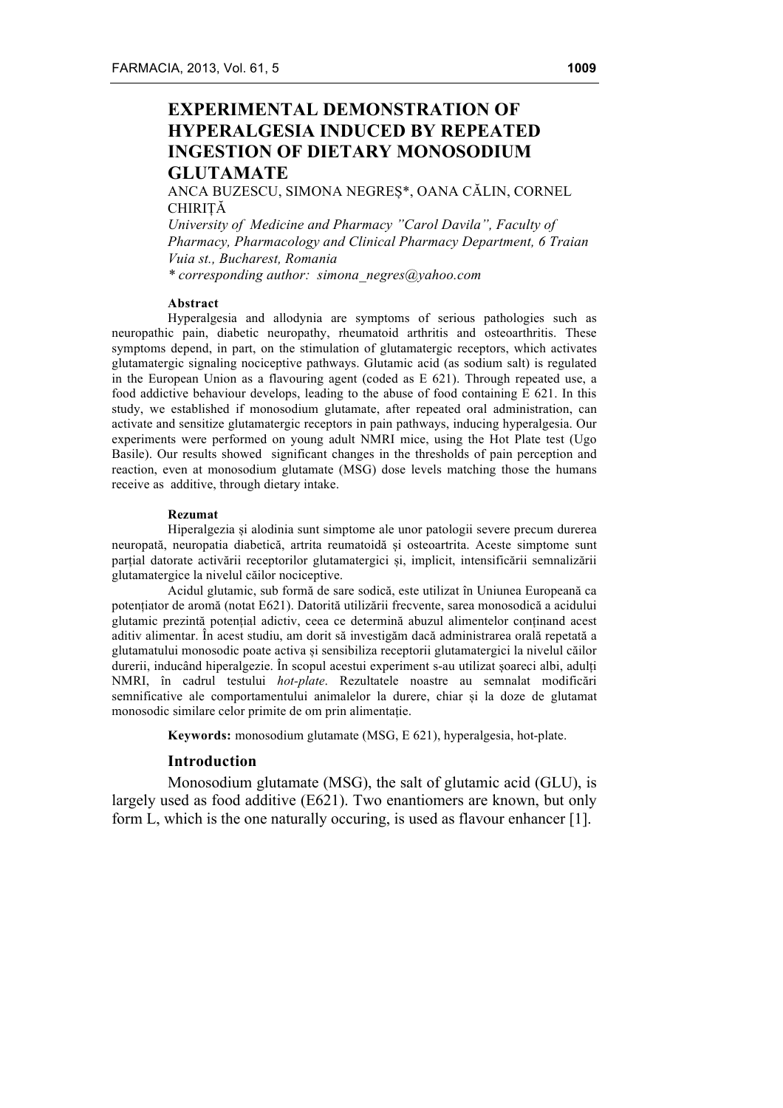# **EXPERIMENTAL DEMONSTRATION OF HYPERALGESIA INDUCED BY REPEATED INGESTION OF DIETARY MONOSODIUM GLUTAMATE**

ANCA BUZESCU, SIMONA NEGREȘ\*, OANA CĂLIN, CORNEL **CHIRITĂ** 

*University of Medicine and Pharmacy "Carol Davila", Faculty of Pharmacy, Pharmacology and Clinical Pharmacy Department, 6 Traian Vuia st., Bucharest, Romania \* corresponding author: simona\_negres@yahoo.com* 

#### **Abstract**

Hyperalgesia and allodynia are symptoms of serious pathologies such as neuropathic pain, diabetic neuropathy, rheumatoid arthritis and osteoarthritis. These symptoms depend, in part, on the stimulation of glutamatergic receptors, which activates glutamatergic signaling nociceptive pathways. Glutamic acid (as sodium salt) is regulated in the European Union as a flavouring agent (coded as E 621). Through repeated use, a food addictive behaviour develops, leading to the abuse of food containing E 621. In this study, we established if monosodium glutamate, after repeated oral administration, can activate and sensitize glutamatergic receptors in pain pathways, inducing hyperalgesia. Our experiments were performed on young adult NMRI mice, using the Hot Plate test (Ugo Basile). Our results showed significant changes in the thresholds of pain perception and reaction, even at monosodium glutamate (MSG) dose levels matching those the humans receive as additive, through dietary intake.

#### **Rezumat**

Hiperalgezia și alodinia sunt simptome ale unor patologii severe precum durerea neuropată, neuropatia diabetică, artrita reumatoidă și osteoartrita. Aceste simptome sunt parțial datorate activării receptorilor glutamatergici și, implicit, intensificării semnalizării glutamatergice la nivelul căilor nociceptive.

Acidul glutamic, sub formă de sare sodică, este utilizat în Uniunea Europeană ca potențiator de aromă (notat E621). Datorită utilizării frecvente, sarea monosodică a acidului glutamic prezintă potențial adictiv, ceea ce determină abuzul alimentelor conținand acest aditiv alimentar. În acest studiu, am dorit să investigăm dacă administrarea orală repetată a glutamatului monosodic poate activa și sensibiliza receptorii glutamatergici la nivelul căilor durerii, inducând hiperalgezie. În scopul acestui experiment s-au utilizat șoareci albi, adulți NMRI, în cadrul testului *hot-plate*. Rezultatele noastre au semnalat modificări semnificative ale comportamentului animalelor la durere, chiar și la doze de glutamat monosodic similare celor primite de om prin alimentație.

**Keywords:** monosodium glutamate (MSG, E 621), hyperalgesia, hot-plate.

### **Introduction**

Monosodium glutamate (MSG), the salt of glutamic acid (GLU), is largely used as food additive (E621). Two enantiomers are known, but only form L, which is the one naturally occuring, is used as flavour enhancer [1].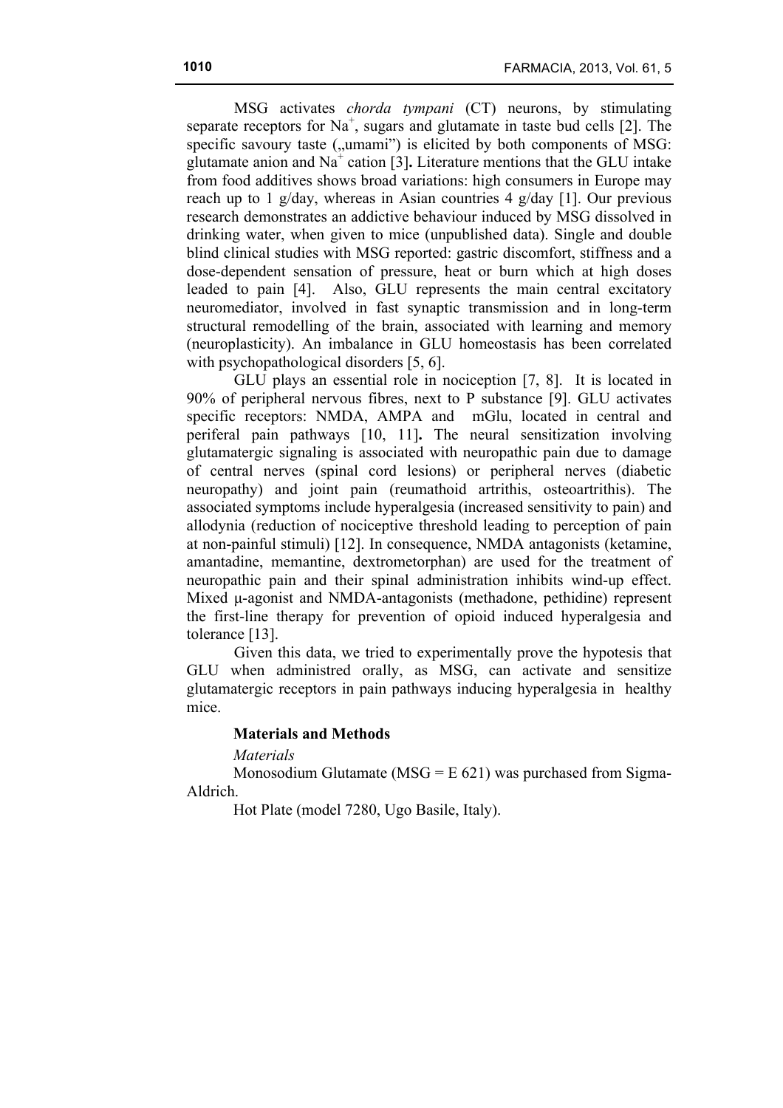MSG activates *chorda tympani* (CT) neurons, by stimulating separate receptors for  $Na^+$ , sugars and glutamate in taste bud cells [2]. The specific savoury taste ("umami") is elicited by both components of MSG: glutamate anion and  $Na<sup>+</sup>$  cation [3]. Literature mentions that the GLU intake from food additives shows broad variations: high consumers in Europe may reach up to 1 g/day, whereas in Asian countries 4 g/day [1]. Our previous research demonstrates an addictive behaviour induced by MSG dissolved in drinking water, when given to mice (unpublished data). Single and double blind clinical studies with MSG reported: gastric discomfort, stiffness and a dose-dependent sensation of pressure, heat or burn which at high doses leaded to pain [4]. Also, GLU represents the main central excitatory neuromediator, involved in fast synaptic transmission and in long-term structural remodelling of the brain, associated with learning and memory (neuroplasticity). An imbalance in GLU homeostasis has been correlated with psychopathological disorders [5, 6].

GLU plays an essential role in nociception [7, 8]. It is located in 90% of peripheral nervous fibres, next to P substance [9]. GLU activates specific receptors: NMDA, AMPA and mGlu, located in central and periferal pain pathways [10, 11]**.** The neural sensitization involving glutamatergic signaling is associated with neuropathic pain due to damage of central nerves (spinal cord lesions) or peripheral nerves (diabetic neuropathy) and joint pain (reumathoid artrithis, osteoartrithis). The associated symptoms include hyperalgesia (increased sensitivity to pain) and allodynia (reduction of nociceptive threshold leading to perception of pain at non-painful stimuli) [12]. In consequence, NMDA antagonists (ketamine, amantadine, memantine, dextrometorphan) are used for the treatment of neuropathic pain and their spinal administration inhibits wind-up effect. Mixed u-agonist and NMDA-antagonists (methadone, pethidine) represent the first-line therapy for prevention of opioid induced hyperalgesia and tolerance [13].

Given this data, we tried to experimentally prove the hypotesis that GLU when administred orally, as MSG, can activate and sensitize glutamatergic receptors in pain pathways inducing hyperalgesia in healthy mice.

## **Materials and Methods**

# *Materials*

Monosodium Glutamate ( $MSG = E 621$ ) was purchased from Sigma-Aldrich.

Hot Plate (model 7280, Ugo Basile, Italy).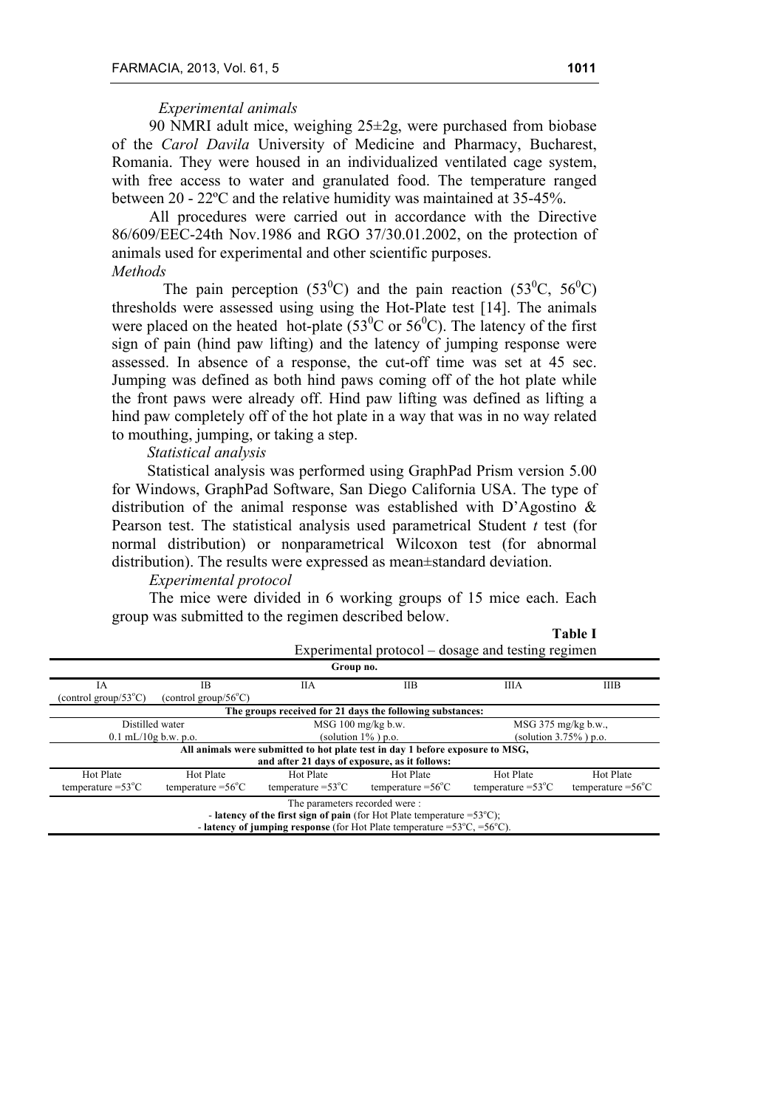# *Experimental animals*

90 NMRI adult mice, weighing  $25\pm 2g$ , were purchased from biobase of the *Carol Davila* University of Medicine and Pharmacy, Bucharest, Romania. They were housed in an individualized ventilated cage system, with free access to water and granulated food. The temperature ranged between 20 - 22ºC and the relative humidity was maintained at 35-45%.

All procedures were carried out in accordance with the Directive 86/609/EEC-24th Nov.1986 and RGO 37/30.01.2002, on the protection of animals used for experimental and other scientific purposes. *Methods*

The pain perception (53<sup>0</sup>C) and the pain reaction (53<sup>0</sup>C, 56<sup>0</sup>C) thresholds were assessed using using the Hot-Plate test [14]. The animals were placed on the heated hot-plate  $(53^{\circ}$ C or  $56^{\circ}$ C). The latency of the first sign of pain (hind paw lifting) and the latency of jumping response were assessed. In absence of a response, the cut-off time was set at 45 sec. Jumping was defined as both hind paws coming off of the hot plate while the front paws were already off. Hind paw lifting was defined as lifting a hind paw completely off of the hot plate in a way that was in no way related to mouthing, jumping, or taking a step.

# *Statistical analysis*

Statistical analysis was performed using GraphPad Prism version 5.00 for Windows, GraphPad Software, San Diego California USA. The type of distribution of the animal response was established with D'Agostino & Pearson test. The statistical analysis used parametrical Student *t* test (for normal distribution) or nonparametrical Wilcoxon test (for abnormal distribution). The results were expressed as mean±standard deviation.

### *Experimental protocol*

The mice were divided in 6 working groups of 15 mice each. Each group was submitted to the regimen described below.

|                                                                                   | Experimental protocol – dosage and testing regimen                                            |                                               |                                                                               |                             |                             |  |  |
|-----------------------------------------------------------------------------------|-----------------------------------------------------------------------------------------------|-----------------------------------------------|-------------------------------------------------------------------------------|-----------------------------|-----------------------------|--|--|
| Group no.                                                                         |                                                                                               |                                               |                                                                               |                             |                             |  |  |
| ΙA                                                                                | ΙB                                                                                            | <b>IIA</b>                                    | IIB.                                                                          | <b>IIIA</b>                 | <b>IIIB</b>                 |  |  |
| (control group/53 $^{\circ}$ C)                                                   | (control group/56 $\degree$ C)                                                                |                                               |                                                                               |                             |                             |  |  |
|                                                                                   |                                                                                               |                                               | The groups received for 21 days the following substances:                     |                             |                             |  |  |
| Distilled water                                                                   |                                                                                               | $MSG$ 100 mg/kg b.w.                          |                                                                               | $MSG$ 375 mg/kg b.w.,       |                             |  |  |
| $0.1$ mL/10g b.w. p.o.                                                            |                                                                                               | (solution $1\%$ ) p.o.                        |                                                                               | (solution $3.75\%$ ) p.o.   |                             |  |  |
|                                                                                   |                                                                                               |                                               | All animals were submitted to hot plate test in day 1 before exposure to MSG, |                             |                             |  |  |
|                                                                                   |                                                                                               | and after 21 days of exposure, as it follows: |                                                                               |                             |                             |  |  |
| Hot Plate                                                                         | <b>Hot Plate</b>                                                                              | Hot Plate                                     | Hot Plate                                                                     | Hot Plate                   | <b>Hot Plate</b>            |  |  |
| temperature $=53^{\circ}$ C                                                       | temperature $=56^{\circ}$ C                                                                   | temperature $=53^{\circ}$ C                   | temperature $=56^{\circ}$ C                                                   | temperature $=53^{\circ}$ C | temperature $=56^{\circ}$ C |  |  |
| The parameters recorded were:                                                     |                                                                                               |                                               |                                                                               |                             |                             |  |  |
| - latency of the first sign of pain (for Hot Plate temperature = $53^{\circ}$ C); |                                                                                               |                                               |                                                                               |                             |                             |  |  |
|                                                                                   | - latency of jumping response (for Hot Plate temperature = $53^{\circ}$ C, = $56^{\circ}$ C). |                                               |                                                                               |                             |                             |  |  |

#### **Table I**

| . . | $\sim$ | × | $-1$ |  |
|-----|--------|---|------|--|
|     |        |   |      |  |
|     |        |   |      |  |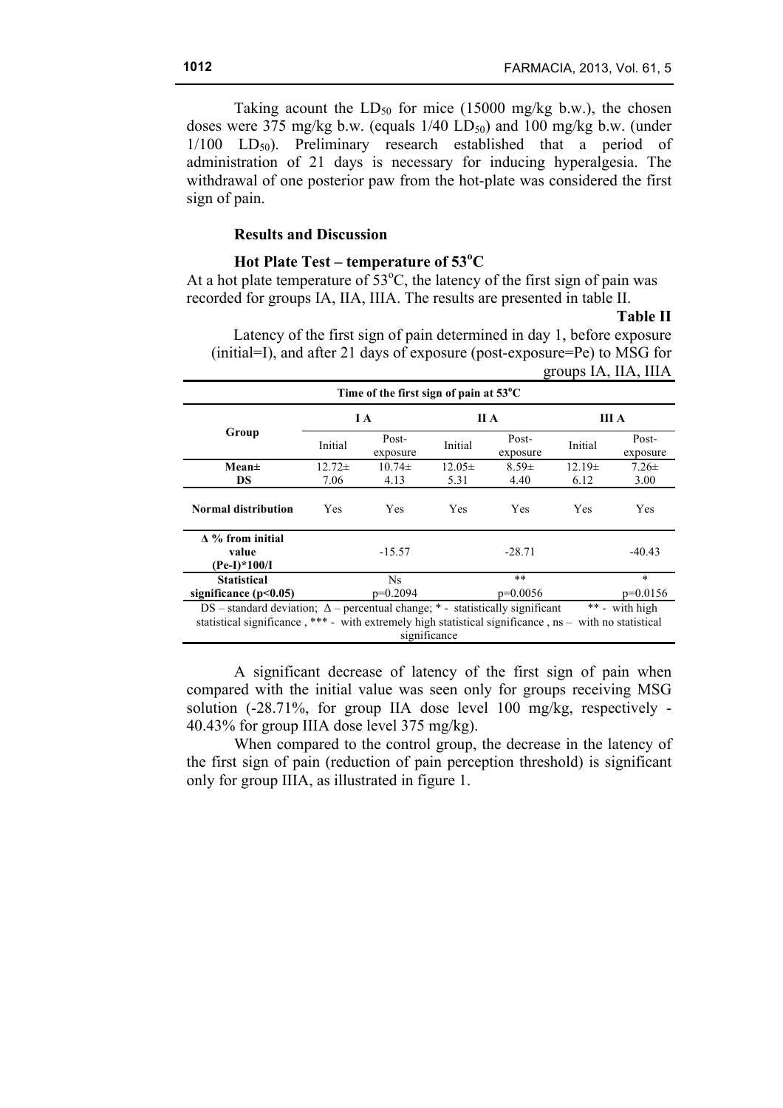Taking acount the  $LD_{50}$  for mice (15000 mg/kg b.w.), the chosen doses were 375 mg/kg b.w. (equals  $1/40$  LD<sub>50</sub>) and 100 mg/kg b.w. (under  $1/100$  LD<sub>50</sub>). Preliminary research established that a period of administration of 21 days is necessary for inducing hyperalgesia. The withdrawal of one posterior paw from the hot-plate was considered the first sign of pain.

## **Results and Discussion**

# **Hot Plate Test – temperature of 53<sup>o</sup> C**

At a hot plate temperature of  $53^{\circ}$ C, the latency of the first sign of pain was recorded for groups IA, IIA, IIIA. The results are presented in table II.

**Table II**

Latency of the first sign of pain determined in day 1, before exposure (initial=I), and after 21 days of exposure (post-exposure=Pe) to MSG for groups IA, IIA, IIIA

| Time of the first sign of pain at $53^{\circ}$ C                                                                                                                                                                                   |             |                   |            |                   |            |                   |  |
|------------------------------------------------------------------------------------------------------------------------------------------------------------------------------------------------------------------------------------|-------------|-------------------|------------|-------------------|------------|-------------------|--|
| Group                                                                                                                                                                                                                              | I A         |                   | ПА         |                   | ША         |                   |  |
|                                                                                                                                                                                                                                    | Initial     | Post-<br>exposure | Initial    | Post-<br>exposure | Initial    | Post-<br>exposure |  |
| $Mean \pm$                                                                                                                                                                                                                         | $12.72 \pm$ | $10.74\pm$        | $12.05\pm$ | $8.59 \pm$        | $12.19\pm$ | $7.26 \pm$        |  |
| <b>DS</b>                                                                                                                                                                                                                          | 7.06        | 4.13              | 5.31       | 4.40              | 6.12       | 3.00              |  |
| <b>Normal distribution</b>                                                                                                                                                                                                         | <b>Yes</b>  | Yes               | Yes        | <b>Yes</b>        | Yes        | Yes               |  |
| $\Delta$ % from initial<br>$-40.43$<br>$-15.57$<br>$-28.71$<br>value<br>$(Pe-I)*100/I$                                                                                                                                             |             |                   |            |                   |            |                   |  |
| <b>Statistical</b>                                                                                                                                                                                                                 |             | Ns.               |            | **                |            | $\ast$            |  |
| significance $(p<0.05)$                                                                                                                                                                                                            |             | $p=0.2094$        |            | $p=0.0056$        |            | $p=0.0156$        |  |
| ** - with high<br>DS – standard deviation; $\Delta$ – percentual change; * - statistically significant<br>statistical significance, *** - with extremely high statistical significance, $ns -$ with no statistical<br>significance |             |                   |            |                   |            |                   |  |

A significant decrease of latency of the first sign of pain when compared with the initial value was seen only for groups receiving MSG solution (-28.71%, for group IIA dose level 100 mg/kg, respectively - 40.43% for group IIIA dose level 375 mg/kg).

When compared to the control group, the decrease in the latency of the first sign of pain (reduction of pain perception threshold) is significant only for group IIIA, as illustrated in figure 1.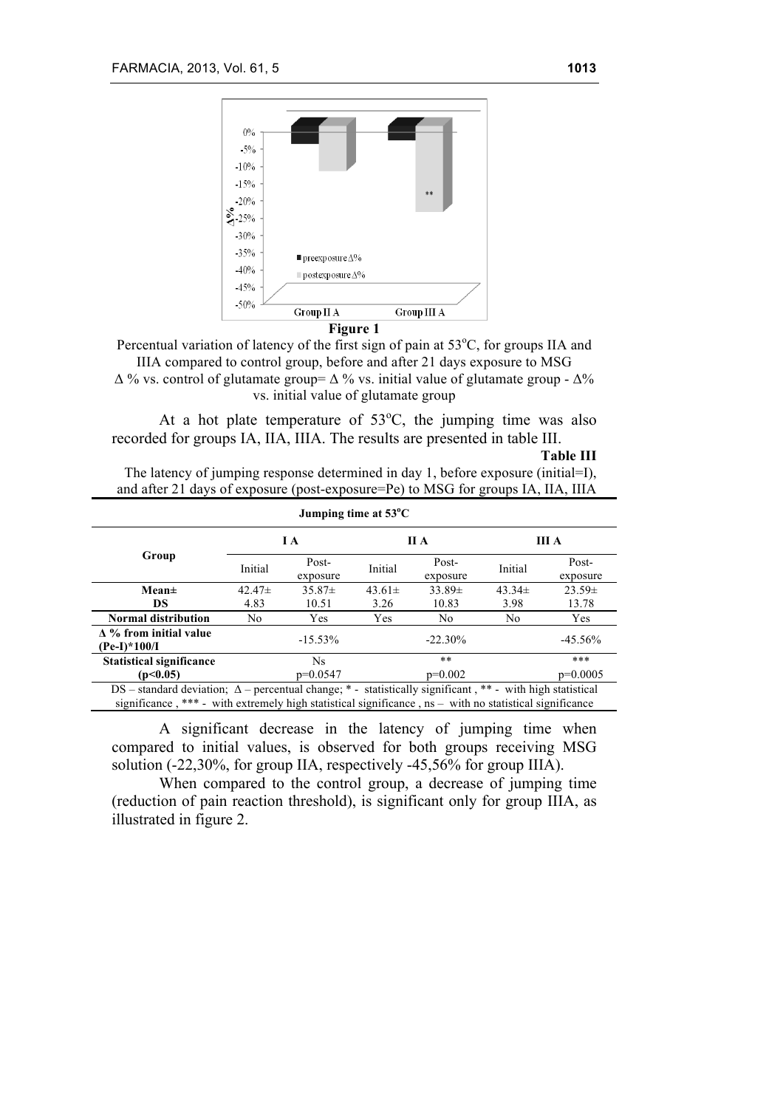

**Figure 1**

Percentual variation of latency of the first sign of pain at  $53^{\circ}$ C, for groups IIA and IIIA compared to control group, before and after 21 days exposure to MSG  $\Delta$  % vs. control of glutamate group=  $\Delta$  % vs. initial value of glutamate group -  $\Delta$ % vs. initial value of glutamate group

At a hot plate temperature of  $53^{\circ}$ C, the jumping time was also recorded for groups IA, IIA, IIIA. The results are presented in table III.

**Table III** The latency of jumping response determined in day 1, before exposure (initial=I), and after 21 days of exposure (post-exposure=Pe) to MSG for groups IA, IIA, IIIA

| Jumping time at $53^{\circ}$ C                                                                                                                                                                                                  |                |                   |             |                   |                |                   |  |
|---------------------------------------------------------------------------------------------------------------------------------------------------------------------------------------------------------------------------------|----------------|-------------------|-------------|-------------------|----------------|-------------------|--|
| Group                                                                                                                                                                                                                           | I A            |                   | II A        |                   | III A          |                   |  |
|                                                                                                                                                                                                                                 | Initial        | Post-<br>exposure | Initial     | Post-<br>exposure | Initial        | Post-<br>exposure |  |
| $Mean\pm$                                                                                                                                                                                                                       | $42.47\pm$     | $35.87\pm$        | $43.61 \pm$ | $33.89\pm$        | $43.34\pm$     | $23.59\pm$        |  |
| <b>DS</b>                                                                                                                                                                                                                       | 4.83           | 10.51             | 3.26        | 10.83             | 3.98           | 13.78             |  |
| <b>Normal distribution</b>                                                                                                                                                                                                      | N <sub>0</sub> | Yes               | Yes         | N <sub>0</sub>    | N <sub>0</sub> | Yes               |  |
| $\Delta$ % from initial value<br>$-45.56%$<br>$-15.53\%$<br>$-22.30\%$<br>$(Pe-I)*100/I$                                                                                                                                        |                |                   |             |                   |                |                   |  |
| <b>Statistical significance</b>                                                                                                                                                                                                 |                | Ns.               |             | $***$             |                | ***               |  |
| (p<0.05)                                                                                                                                                                                                                        |                | $p=0.0547$        |             | $p=0.002$         |                | $p=0.0005$        |  |
| DS – standard deviation; $\Delta$ – percentual change; * - statistically significant, ** - with high statistical<br>significance, $***$ - with extremely high statistical significance, $ns -$ with no statistical significance |                |                   |             |                   |                |                   |  |

A significant decrease in the latency of jumping time when compared to initial values, is observed for both groups receiving MSG solution (-22,30%, for group IIA, respectively -45,56% for group IIIA).

When compared to the control group, a decrease of jumping time (reduction of pain reaction threshold), is significant only for group IIIA, as illustrated in figure 2.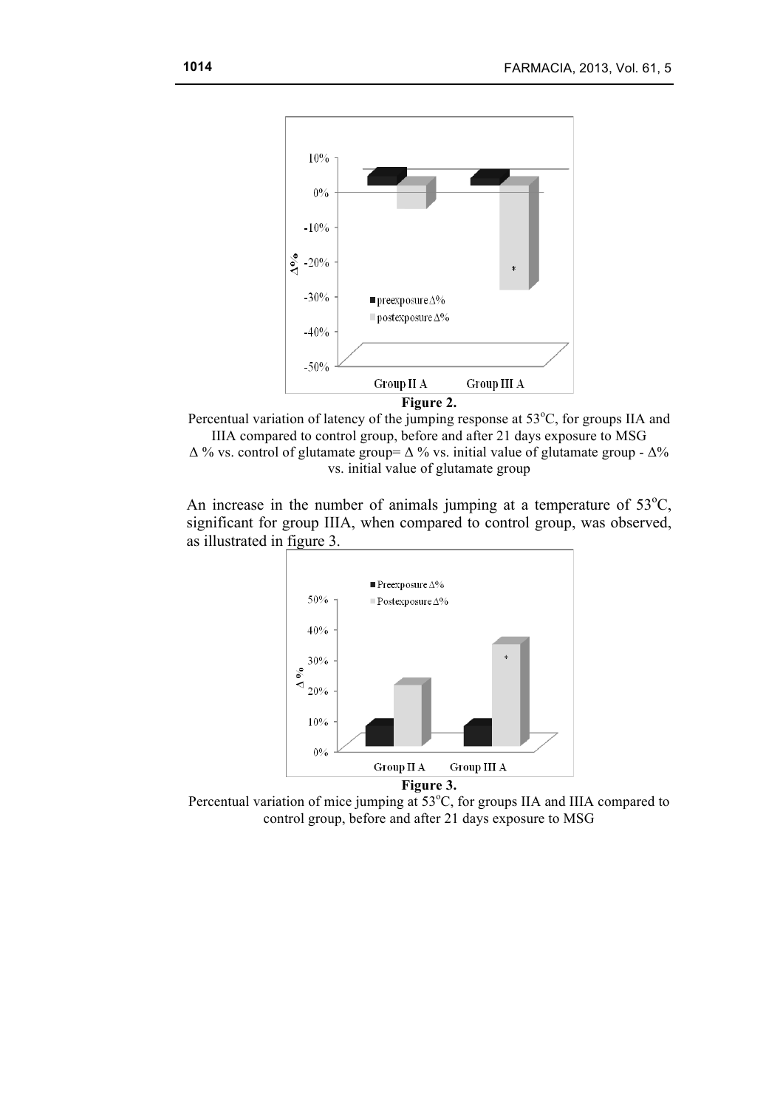

Percentual variation of latency of the jumping response at  $53^{\circ}$ C, for groups IIA and IIIA compared to control group, before and after 21 days exposure to MSG  $\Delta$ % vs. control of glutamate group=  $\Delta$ % vs. initial value of glutamate group -  $\Delta$ % vs. initial value of glutamate group

An increase in the number of animals jumping at a temperature of  $53^{\circ}$ C, significant for group IIIA, when compared to control group, was observed, as illustrated in figure 3.



Percentual variation of mice jumping at  $53^{\circ}$ C, for groups IIA and IIIA compared to control group, before and after 21 days exposure to MSG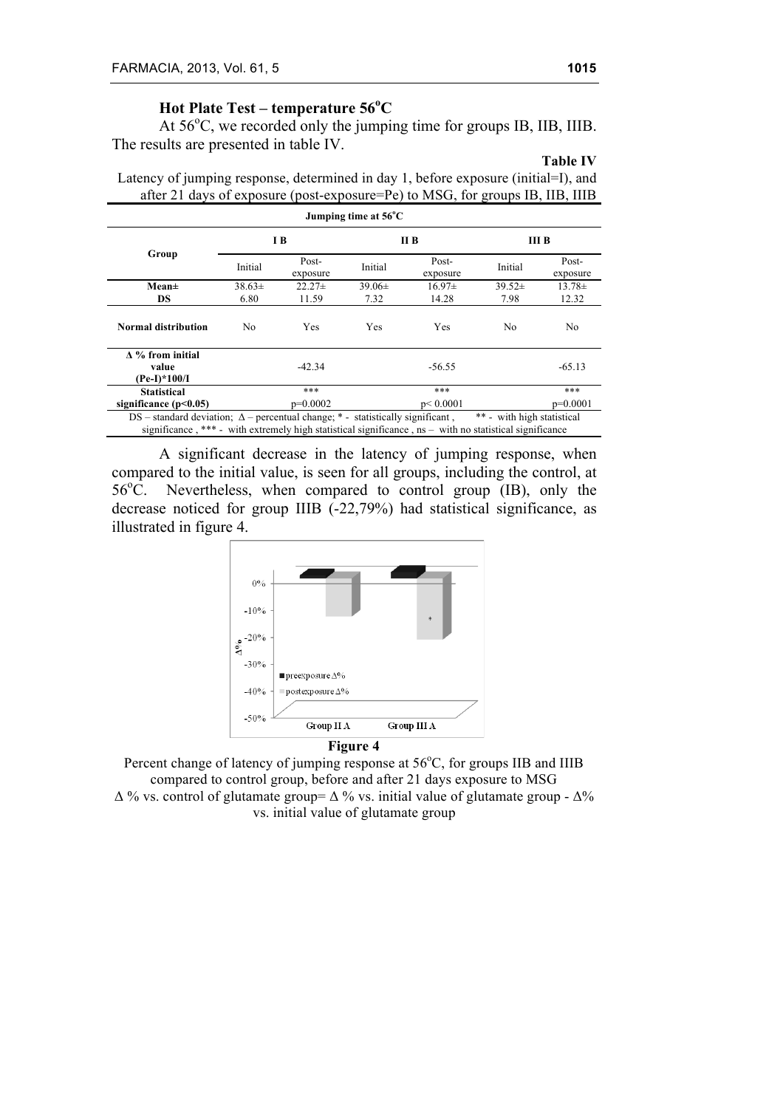# **Hot Plate Test – temperature 56<sup>o</sup> C**

At  $56^{\circ}$ C, we recorded only the jumping time for groups IB, IIB, IIIB. The results are presented in table IV.

# **Table IV**

Latency of jumping response, determined in day 1, before exposure (initial=I), and after 21 days of exposure (post-exposure=Pe) to MSG, for groups IB, IIB, IIIB

|                                                                                                                                                                                                    |             |                   | Jumping time at $56^{\circ}$ C |                   |                            |                   |
|----------------------------------------------------------------------------------------------------------------------------------------------------------------------------------------------------|-------------|-------------------|--------------------------------|-------------------|----------------------------|-------------------|
| Group                                                                                                                                                                                              | I B         |                   | II B                           |                   | Ш В                        |                   |
|                                                                                                                                                                                                    | Initial     | Post-<br>exposure | Initial                        | Post-<br>exposure | Initial                    | Post-<br>exposure |
| Mean±                                                                                                                                                                                              | $38.63 \pm$ | $22.27 \pm$       | $39.06\pm$                     | $16.97\pm$        | $39.52 \pm$                | $13.78 \pm$       |
| DS                                                                                                                                                                                                 | 6.80        | 11.59             | 7.32                           | 14.28             | 7.98                       | 12.32             |
| <b>Normal distribution</b>                                                                                                                                                                         | No.         | Yes               | Yes                            | Yes               | N <sub>0</sub>             | No.               |
| $\Delta$ % from initial<br>value<br>(Pe-I)*100/I                                                                                                                                                   |             | $-42.34$          |                                | $-56.55$          |                            | $-65.13$          |
| <b>Statistical</b>                                                                                                                                                                                 |             | ***               |                                | ***               |                            | ***               |
| significance $(p<0.05)$                                                                                                                                                                            |             | $p=0.0002$        |                                | p < 0.0001        |                            | $p=0.0001$        |
| DS – standard deviation; $\Delta$ – percentual change; * - statistically significant,<br>significance, *** - with extremely high statistical significance, $ns -$ with no statistical significance |             |                   |                                |                   | ** - with high statistical |                   |

A significant decrease in the latency of jumping response, when compared to the initial value, is seen for all groups, including the control, at  $56^{\circ}$ C. Nevertheless, when compared to control group (IB), only the decrease noticed for group IIIB (-22,79%) had statistical significance, as illustrated in figure 4.



Percent change of latency of jumping response at 56°C, for groups IIB and IIIB compared to control group, before and after 21 days exposure to MSG  $\Delta$  % vs. control of glutamate group=  $\Delta$  % vs. initial value of glutamate group -  $\Delta$ % vs. initial value of glutamate group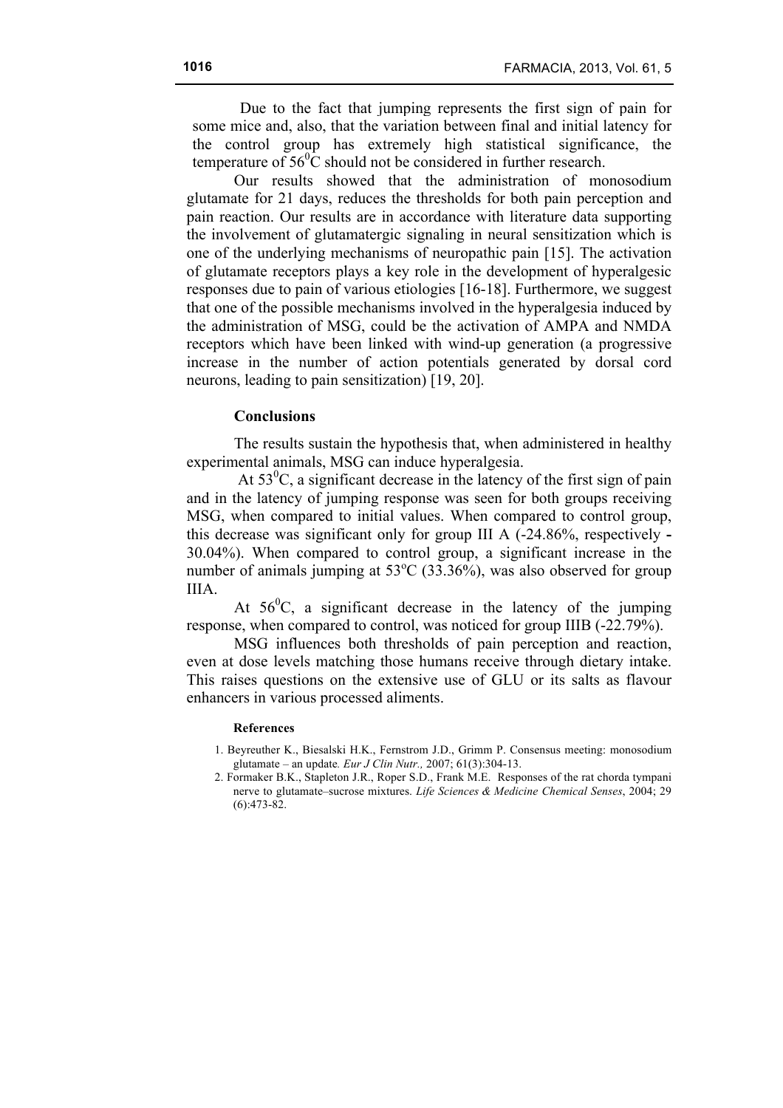Due to the fact that jumping represents the first sign of pain for some mice and, also, that the variation between final and initial latency for the control group has extremely high statistical significance, the temperature of  $56^{\circ}$ C should not be considered in further research.

Our results showed that the administration of monosodium glutamate for 21 days, reduces the thresholds for both pain perception and pain reaction. Our results are in accordance with literature data supporting the involvement of glutamatergic signaling in neural sensitization which is one of the underlying mechanisms of neuropathic pain [15]. The activation of glutamate receptors plays a key role in the development of hyperalgesic responses due to pain of various etiologies [16-18]. Furthermore, we suggest that one of the possible mechanisms involved in the hyperalgesia induced by the administration of MSG, could be the activation of AMPA and NMDA receptors which have been linked with wind-up generation (a progressive increase in the number of action potentials generated by dorsal cord neurons, leading to pain sensitization) [19, 20].

### **Conclusions**

The results sustain the hypothesis that, when administered in healthy experimental animals, MSG can induce hyperalgesia.

At  $53^{\circ}$ C, a significant decrease in the latency of the first sign of pain and in the latency of jumping response was seen for both groups receiving MSG, when compared to initial values. When compared to control group, this decrease was significant only for group III A (-24.86%, respectively **-** 30.04%). When compared to control group, a significant increase in the number of animals jumping at  $53^{\circ}$ C (33.36%), was also observed for group IIIA.

At  $56^{\circ}$ C, a significant decrease in the latency of the jumping response, when compared to control, was noticed for group IIIB (-22.79%).

MSG influences both thresholds of pain perception and reaction, even at dose levels matching those humans receive through dietary intake. This raises questions on the extensive use of GLU or its salts as flavour enhancers in various processed aliments.

#### **References**

- 1. Beyreuther K., Biesalski H.K., Fernstrom J.D., Grimm P. Consensus meeting: monosodium glutamate – an update*. Eur J Clin Nutr.,* 2007; 61(3):304-13.
- 2. Formaker B.K., Stapleton J.R., Roper S.D., Frank M.E. Responses of the rat chorda tympani nerve to glutamate–sucrose mixtures. *Life Sciences & Medicine Chemical Senses*, 2004; 29 (6):473-82.